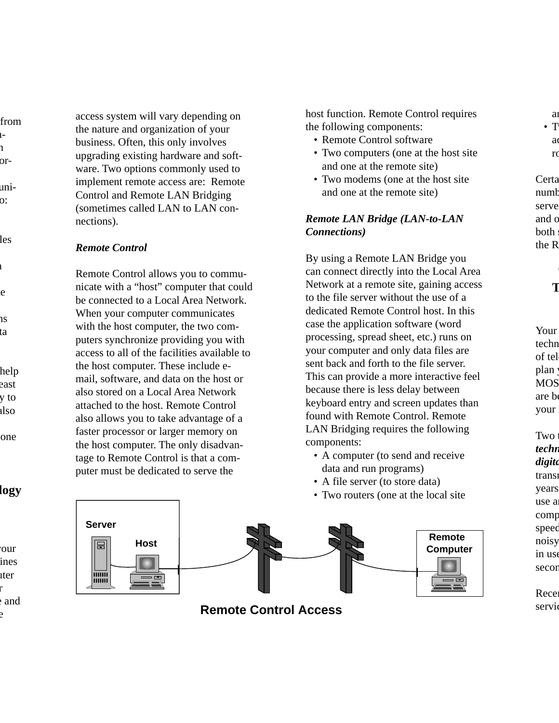from  $-1$ n or-

uni- $\overline{\text{o}}$ :

les

a te

> ns ata

help east y to also

one

### **logy**

our lines uter r e and access system will vary depending on the nature and organization of your business. Often, this only involves upgrading existing hardware and software. Two options commonly used to implement remote access are: Remote Control and Remote LAN Bridging (sometimes called LAN to LAN connections).

#### *Remote Control*

Remote Control allows you to communicate with a "host" computer that could be connected to a Local Area Network. When your computer communicates with the host computer, the two computers synchronize providing you with access to all of the facilities available to the host computer. These include email, software, and data on the host or also stored on a Local Area Network attached to the host. Remote Control also allows you to take advantage of a faster processor or larger memory on the host computer. The only disadvantage to Remote Control is that a computer must be dedicated to serve the

host function. Remote Control requires the following components:

- Remote Control software
- Two computers (one at the host site and one at the remote site)
- Two modems (one at the host site and one at the remote site)

#### *Remote LAN Bridge (LAN-to-LAN Connections)*

By using a Remote LAN Bridge you can connect directly into the Local Area Network at a remote site, gaining access to the file server without the use of a dedicated Remote Control host. In this case the application software (word processing, spread sheet, etc.) runs on your computer and only data files are sent back and forth to the file server. This can provide a more interactive feel because there is less delay between keyboard entry and screen updates than found with Remote Control. Remote LAN Bridging requires the following components:

- A computer (to send and receive data and run programs)
- A file server (to store data)
- Two routers (one at the local site



e<sup>erma</sup>recess **Remote Control Access** 

a  $\bullet$  T ad

r<sub>o</sub>

Certa numb serve and c both the R

# **T**

Your techn of tel plan MOS are be your

Two t *techn digita* trans years use a comp speed noisy in use secon

Rece servie